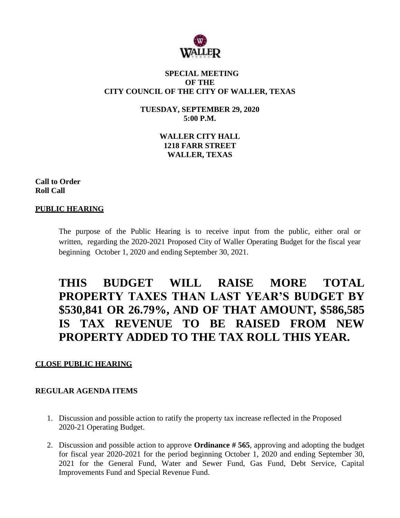

### **SPECIAL MEETING OF THE CITY COUNCIL OF THE CITY OF WALLER, TEXAS**

**TUESDAY, SEPTEMBER 29, 2020 5:00 P.M.**

> **WALLER CITY HALL 1218 FARR STREET WALLER, TEXAS**

**Call to Order Roll Call**

# **PUBLIC HEARING**

The purpose of the Public Hearing is to receive input from the public, either oral or written, regarding the 2020-2021 Proposed City of Waller Operating Budget for the fiscal year beginning October 1, 2020 and ending September 30, 2021.

# **THIS BUDGET WILL RAISE MORE TOTAL PROPERTY TAXES THAN LAST YEAR'S BUDGET BY \$530,841 OR 26.79%, AND OF THAT AMOUNT, \$586,585 IS TAX REVENUE TO BE RAISED FROM NEW PROPERTY ADDED TO THE TAX ROLL THIS YEAR.**

#### **CLOSE PUBLIC HEARING**

#### **REGULAR AGENDA ITEMS**

- 1. Discussion and possible action to ratify the property tax increase reflected in the Proposed 2020-21 Operating Budget.
- 2. Discussion and possible action to approve **Ordinance # 565**, approving and adopting the budget for fiscal year 2020-2021 for the period beginning October 1, 2020 and ending September 30, 2021 for the General Fund, Water and Sewer Fund, Gas Fund, Debt Service, Capital Improvements Fund and Special Revenue Fund.